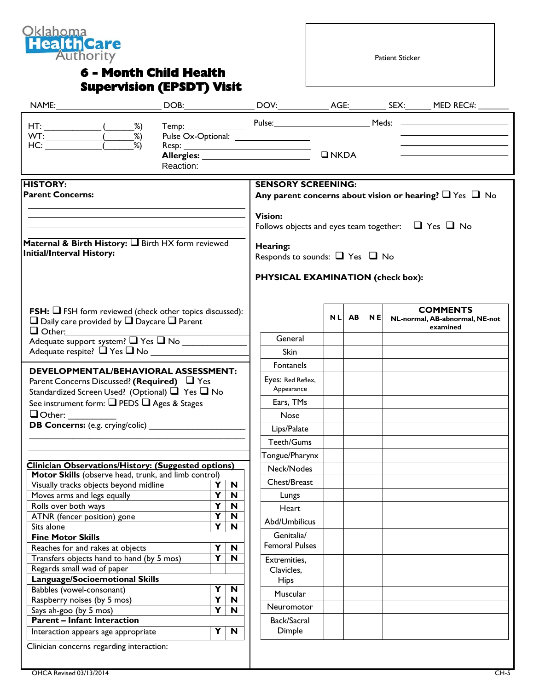

## **6 - Month Child Health Supervision (EPSDT) Visit**

Patient Sticker

|                                                                                                                                                            |                              |             |                                                                                                |           |           |           |  | Temp: Pulse: Pulse: Meds: 2008-00-2014                        |
|------------------------------------------------------------------------------------------------------------------------------------------------------------|------------------------------|-------------|------------------------------------------------------------------------------------------------|-----------|-----------|-----------|--|---------------------------------------------------------------|
| Reaction:                                                                                                                                                  |                              |             | $\square$ NKDA<br>the control of the control of the control of the                             |           |           |           |  |                                                               |
| <b>HISTORY:</b><br><b>Parent Concerns:</b>                                                                                                                 |                              |             | <b>SENSORY SCREENING:</b><br>Any parent concerns about vision or hearing? $\Box$ Yes $\Box$ No |           |           |           |  |                                                               |
|                                                                                                                                                            |                              |             | <b>Vision:</b><br>Follows objects and eyes team together: $\Box$ Yes $\Box$ No                 |           |           |           |  |                                                               |
| Maternal & Birth History: I Birth HX form reviewed<br><b>Initial/Interval History:</b>                                                                     |                              |             | Hearing:<br>Responds to sounds: $\Box$ Yes $\Box$ No                                           |           |           |           |  |                                                               |
|                                                                                                                                                            |                              |             | <b>PHYSICAL EXAMINATION (check box):</b>                                                       |           |           |           |  |                                                               |
| <b>FSH:</b> $\Box$ FSH form reviewed (check other topics discussed):<br>$\Box$ Daily care provided by $\Box$ Daycare $\Box$ Parent<br>$\Box$ Other: $\Box$ |                              |             |                                                                                                | <b>NL</b> | <b>AB</b> | <b>NE</b> |  | <b>COMMENTS</b><br>NL-normal, AB-abnormal, NE-not<br>examined |
| Adequate support system? Tes TNo                                                                                                                           |                              |             | General                                                                                        |           |           |           |  |                                                               |
|                                                                                                                                                            |                              |             | <b>Skin</b>                                                                                    |           |           |           |  |                                                               |
| <b>DEVELOPMENTAL/BEHAVIORAL ASSESSMENT:</b>                                                                                                                |                              |             | Fontanels                                                                                      |           |           |           |  |                                                               |
| Parent Concerns Discussed? (Required) $\Box$ Yes                                                                                                           |                              |             | Eyes: Red Reflex,                                                                              |           |           |           |  |                                                               |
| Standardized Screen Used? (Optional) ■ Yes ■ No                                                                                                            |                              |             | Appearance                                                                                     |           |           |           |  |                                                               |
| See instrument form: Q PEDS Q Ages & Stages                                                                                                                |                              |             | Ears, TMs                                                                                      |           |           |           |  |                                                               |
| $\Box$ Other:                                                                                                                                              |                              |             | Nose                                                                                           |           |           |           |  |                                                               |
|                                                                                                                                                            |                              |             | Lips/Palate                                                                                    |           |           |           |  |                                                               |
|                                                                                                                                                            |                              |             |                                                                                                |           |           |           |  |                                                               |
|                                                                                                                                                            |                              |             | Teeth/Gums                                                                                     |           |           |           |  |                                                               |
|                                                                                                                                                            |                              |             | Tongue/Pharynx                                                                                 |           |           |           |  |                                                               |
| Clinician Observations/History: (Suggested options)<br>Motor Skills (observe head, trunk, and limb control)                                                |                              |             | Neck/Nodes                                                                                     |           |           |           |  |                                                               |
| Visually tracks objects beyond midline                                                                                                                     | Υ                            | $\mathbf N$ | Chest/Breast                                                                                   |           |           |           |  |                                                               |
| Moves arms and legs equally                                                                                                                                | Y                            | N           | Lungs                                                                                          |           |           |           |  |                                                               |
| Rolls over both ways                                                                                                                                       | $\overline{\mathbf{Y}}$      | N           | Heart                                                                                          |           |           |           |  |                                                               |
| ATNR (fencer position) gone                                                                                                                                | $\overline{\mathbf{Y}}$      | N           |                                                                                                |           |           |           |  |                                                               |
| Sits alone                                                                                                                                                 | $\overline{\mathsf{Y}}$      | N           | Abd/Umbilicus                                                                                  |           |           |           |  |                                                               |
| <b>Fine Motor Skills</b>                                                                                                                                   |                              |             | Genitalia/                                                                                     |           |           |           |  |                                                               |
| Reaches for and rakes at objects                                                                                                                           | Υ                            | N           | <b>Femoral Pulses</b>                                                                          |           |           |           |  |                                                               |
| Transfers objects hand to hand (by 5 mos)                                                                                                                  | Y                            | N           | Extremities,                                                                                   |           |           |           |  |                                                               |
| Regards small wad of paper                                                                                                                                 |                              |             | Clavicles,                                                                                     |           |           |           |  |                                                               |
| <b>Language/Socioemotional Skills</b>                                                                                                                      |                              |             | <b>Hips</b>                                                                                    |           |           |           |  |                                                               |
| Babbles (vowel-consonant)                                                                                                                                  | Y                            | $\mathbf N$ | Muscular                                                                                       |           |           |           |  |                                                               |
| Raspberry noises (by 5 mos)                                                                                                                                | Y<br>$\overline{\mathsf{Y}}$ | N<br>N      | Neuromotor                                                                                     |           |           |           |  |                                                               |
| Says ah-goo (by 5 mos)<br><b>Parent - Infant Interaction</b>                                                                                               |                              |             | Back/Sacral                                                                                    |           |           |           |  |                                                               |
|                                                                                                                                                            |                              |             |                                                                                                |           |           |           |  |                                                               |
| Interaction appears age appropriate                                                                                                                        | Y                            | N           | Dimple                                                                                         |           |           |           |  |                                                               |